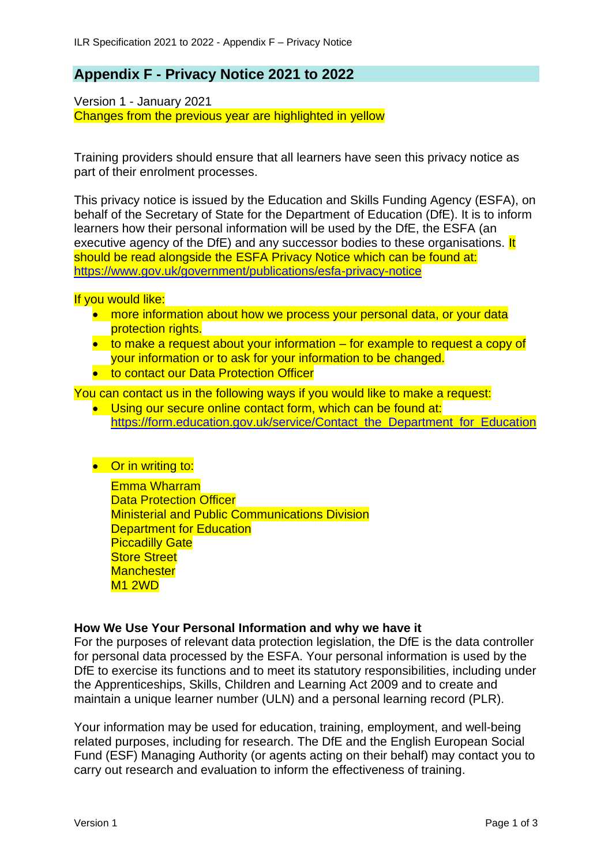# **Appendix F - Privacy Notice 2021 to 2022**

Version 1 - January 2021 Changes from the previous year are highlighted in yellow

Training providers should ensure that all learners have seen this privacy notice as part of their enrolment processes.

This privacy notice is issued by the Education and Skills Funding Agency (ESFA), on behalf of the Secretary of State for the Department of Education (DfE). It is to inform learners how their personal information will be used by the DfE, the ESFA (an executive agency of the DfE) and any successor bodies to these organisations. It should be read alongside the ESFA Privacy Notice which can be found at: <https://www.gov.uk/government/publications/esfa-privacy-notice>

If you would like:

- more information about how we process your personal data, or your data protection rights.
- to make a request about your information for example to request a copy of your information or to ask for your information to be changed.
- to contact our Data Protection Officer

You can contact us in the following ways if you would like to make a request:

- Using our secure online contact form, which can be found at: [https://form.education.gov.uk/service/Contact\\_the\\_Department\\_for\\_Education](https://form.education.gov.uk/service/Contact_the_Department_for_Education)
- Or in writing to:

Emma Wharram Data Protection Officer Ministerial and Public Communications Division **Department for Education Piccadilly Gate Store Street Manchester** M1 2WD

# **How We Use Your Personal Information and why we have it**

For the purposes of relevant data protection legislation, the DfE is the data controller for personal data processed by the ESFA. Your personal information is used by the DfE to exercise its functions and to meet its statutory responsibilities, including under the Apprenticeships, Skills, Children and Learning Act 2009 and to create and maintain a unique learner number (ULN) and a personal learning record (PLR).

Your information may be used for education, training, employment, and well-being related purposes, including for research. The DfE and the English European Social Fund (ESF) Managing Authority (or agents acting on their behalf) may contact you to carry out research and evaluation to inform the effectiveness of training.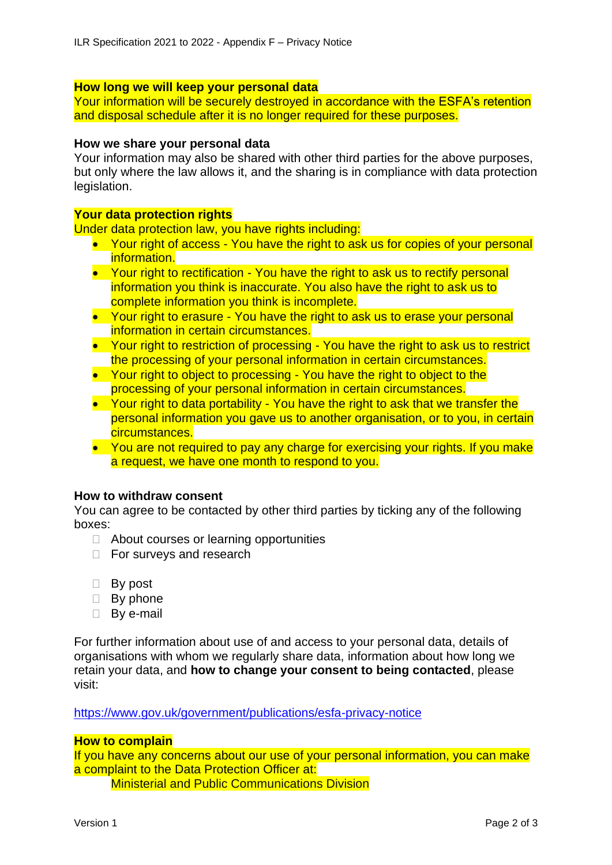# **How long we will keep your personal data**

Your information will be securely destroyed in accordance with the ESFA's retention and disposal schedule after it is no longer required for these purposes.

#### **How we share your personal data**

Your information may also be shared with other third parties for the above purposes, but only where the law allows it, and the sharing is in compliance with data protection legislation.

### **Your data protection rights**

Under data protection law, you have rights including:

- Your right of access You have the right to ask us for copies of your personal information.
- Your right to rectification You have the right to ask us to rectify personal information you think is inaccurate. You also have the right to ask us to complete information you think is incomplete.
- Your right to erasure You have the right to ask us to erase your personal information in certain circumstances.
- Your right to restriction of processing You have the right to ask us to restrict the processing of your personal information in certain circumstances.
- Your right to object to processing You have the right to object to the processing of your personal information in certain circumstances.
- Your right to data portability You have the right to ask that we transfer the personal information you gave us to another organisation, or to you, in certain circumstances.
- You are not required to pay any charge for exercising your rights. If you make a request, we have one month to respond to you.

#### **How to withdraw consent**

You can agree to be contacted by other third parties by ticking any of the following boxes:

- $\Box$  About courses or learning opportunities
- □ For surveys and research
- □ By post
- $\Box$  By phone
- □ Bv e-mail

For further information about use of and access to your personal data, details of organisations with whom we regularly share data, information about how long we retain your data, and **how to change your consent to being contacted**, please visit:

<https://www.gov.uk/government/publications/esfa-privacy-notice>

# **How to complain**

If you have any concerns about our use of your personal information, you can make a complaint to the Data Protection Officer at:

Ministerial and Public Communications Division